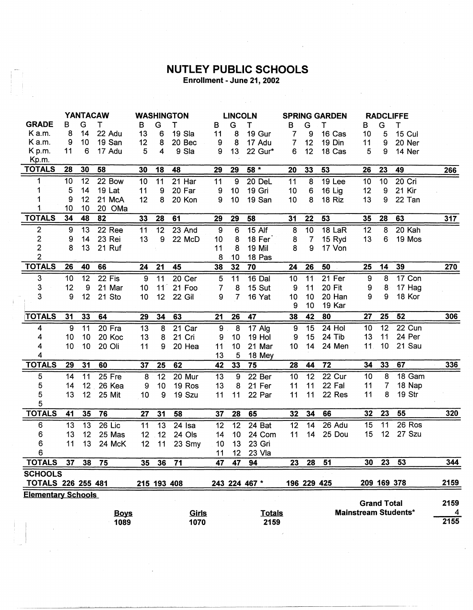## **NUTLEY PUBLIC SCHOOLS**<br>Enrollment - June 21, 2002

 $\frac{1}{2} \sum_{i=1}^n \frac{1}{2} \frac{1}{2} \frac{1}{2}$ 

|                           | <b>YANTACAW</b> |                 |             | <b>WASHINGTON</b> |                 |          | <b>LINCOLN</b> |                 |               | <b>SPRING GARDEN</b> |                  |        | <b>RADCLIFFE</b>   |                |                             |                |
|---------------------------|-----------------|-----------------|-------------|-------------------|-----------------|----------|----------------|-----------------|---------------|----------------------|------------------|--------|--------------------|----------------|-----------------------------|----------------|
| <b>GRADE</b>              | в               | G               | Τ           | в                 | G               | т        | B              | G               | т             | B                    | G                | т      | В                  | G              | т                           |                |
| K a.m.                    | 8               | 14              | 22 Adu      | 13                | 6               | 19 Sla   | 11             | 8               | 19 Gur        | 7                    | 9                | 16 Cas | 10                 | 5              | <b>15 Cul</b>               |                |
| K a.m.                    | 9               | 10              | 19 San      | 12                | 8               | 20 Bec   | 9              | 8               | 17 Adu        | 7                    | 12               | 19 Din | 11                 | 9              | 20 Ner                      |                |
| K p.m.                    | 11              | 6               | 17 Adu      | 5                 | 4               | 9 Sla    | 9              | 13              | 22 Gur*       | 6                    | 12               | 18 Cas | 5                  | 9              | 14 Ner                      |                |
| Kp.m.                     |                 |                 |             |                   |                 |          |                |                 |               |                      |                  |        |                    |                |                             |                |
| <b>TOTALS</b>             | 28              | 30              | 58          | 30                | 18              | 48       | 29             | 29              | $58*$         | 20                   | 33               | 53     | 26                 | 23             | 49                          | 266            |
| 1                         | 10              | 12              | 22 Bow      | 10                | 11              | 21 Har   | 11             | 9               | 20 DeL        | 11                   | $\boldsymbol{8}$ | 19 Lee | 10                 | 10             | 20 Cri                      |                |
| 1                         | 5               | 14              | 19 Lat      | 11                | 9               | 20 Far   | 9              | 10              | 19 Gri        | 10                   | 6                | 16 Lig | 12                 | 9              | 21 Kir                      |                |
|                           | 9               | 12              | 21 McA      | 12                | 8               | 20 Kon   | 9              | 10              | 19 San        | 10                   | 8                | 18 Riz | 13                 | 9              | 22 Tan                      |                |
| 1                         | 10              | 10              | 20 OMa      |                   |                 |          |                |                 |               |                      |                  |        |                    |                |                             |                |
| <b>TOTALS</b>             | 34              | 48              | 82          | 33                | 28              | 61       | 29             | 29              | 58            | 31                   | 22               | 53     | 35                 | 28             | 63                          | 317            |
| $\overline{2}$            | 9               | 13              | 22 Ree      | 11                | $\overline{12}$ | 23 And   | $\overline{9}$ | $\overline{6}$  | $15$ Alf      | 8                    | $\overline{10}$  | 18 LaR | 12                 | 8              | 20 Kah                      |                |
|                           | 9               | 14              | 23 Rei      | 13                | 9               | 22 McD   | 10             | 8               | 18 Fer        | 8                    | $\overline{7}$   | 15 Ryd | 13                 | 6              | 19 Mos                      |                |
| $\frac{2}{2}$             | 8               | 13              | 21 Ruf      |                   |                 |          | 11             | 8               | 19 Mil        | 8                    | 9                | 17 Von |                    |                |                             |                |
| $\overline{2}$            |                 |                 |             |                   |                 |          | 8              | 10              | 18 Pas        |                      |                  |        |                    |                |                             |                |
| <b>TOTALS</b>             | 26              | 40              | 66          | 24                | 21              | 45       | 38             | 32              | 70            | 24                   | 26               | 50     | 25                 | 14             | 39                          | 270            |
| 3                         | 10              | 12              | 22 Fis      | 9                 | 11              | 20 Cer   | 5              | 11              | 16 Dal        | 10                   | 11               | 21 Fer | 9                  | 8              | $17$ Con                    |                |
| 3                         | 12              | 9               | 21 Mar      | 10                | $11^\circ$      | 21 Foo   | 7              | 8               | 15 Sut        | 9                    | 11               | 20 Fit | 9                  | 8              | 17 Hag                      |                |
| 3                         | 9               | 12 <sub>2</sub> | 21 Sto      | 10                | 12              | 22 Gil   | 9              | $\overline{7}$  | 16 Yat        | 10                   | 10               | 20 Han | 9                  | 9              | 18 Kor                      |                |
|                           |                 |                 |             |                   |                 |          |                |                 |               | 9                    | 10               | 19 Kar |                    |                |                             |                |
| <b>TOTALS</b>             | 31              | 33              | 64          | 29                | 34              | 63       | 21             | 26              | 47            | 38                   | 42               | 80     | 27                 | 25             | 52                          | 306            |
| 4                         | 9               | 11              | 20 Fra      | 13                | 8               | 21 Car   | 9 <sub>1</sub> | $\overline{8}$  | 17 Alg        | 9                    | 15               | 24 Hol | 10                 | 12             | 22 Cun                      |                |
| 4                         | 10              | 10              | 20 Koc      | 13                | 8               | 21 Cri   | 9              | 10              | <b>19 Hol</b> | 9                    | 15               | 24 Tib | 13                 | 11             | 24 Per                      |                |
| 4                         | 10              | 10              | 20 Oli      | 11                | 9               | 20 Hea   | 11             | 10              | 21 Mar        | 10                   | 14               | 24 Men | 11.                | 10             | 21 Sau                      |                |
| 4                         |                 |                 |             |                   |                 |          | 13             | 5               | 18 Mey        |                      |                  |        |                    |                |                             |                |
| <b>TOTALS</b>             | 29              | 31              | 60          | 37                | 25              | 62       | 42             | 33              | 75            | 28                   | 44               | 72     | 34                 | 33             | 67                          | 336            |
| 5                         | 14              | 11              | 25 Fre      | 8                 | 12              | 20 Mur   | 13             | $\overline{9}$  | 22 Ber        | 10                   | 12               | 22 Cur | 10                 | 8              | 18 Gam                      |                |
| 5                         | 14              | 12              | 26 Kea      | 9                 | 10              | 19 Ros   | 13             | 8               | 21 Fer        | 11                   | 11               | 22 Fal | 11                 | $\overline{7}$ | 18 Nap                      |                |
| 5                         | 13              | 12              | 25 Mit      | 10                | 9               | 19 Szu   | 11             | 11              | 22 Par        | 11                   | 11               | 22 Res | 11                 | 8              | 19 Str                      |                |
| 5                         |                 |                 |             |                   |                 |          |                |                 |               |                      |                  |        |                    |                |                             |                |
| <b>TOTALS</b>             | 41              | 35              | 76          | 27                | 31              | 58       | 37             | 28              | 65            | 32                   | 34               | 66     | 32                 | 23             | 55                          | 320            |
| 6                         | 13              | 13              | 26 Lic      | 11                | 13              | $24$ Isa | 12             | 12              | 24 Bat        | 12                   | 14               | 26 Adu | 15                 | 11             | 26 Ros                      |                |
| 6                         | 13              | 12              | 25 Mas      | 12 <sub>2</sub>   | 12              | 24 Ols   | 14             | 10              | 24 Com        | 11                   | 14               | 25 Dou | 15                 | 12             | 27 Szu                      |                |
| 6                         | 11              | 13              | 24 McK      | 12                | 11              | 23 Smy   | 10             | 13              | 23 Gri        |                      |                  |        |                    |                |                             |                |
| 6                         |                 |                 |             |                   |                 |          | 11             | 12 <sub>2</sub> | 23 Vla        |                      |                  |        |                    |                |                             |                |
| <b>TOTALS</b>             | 37              | 38              | 75          | 35                | 36              | 71       | 47             | 47              | 94            | 23                   | 28               | 51     | 30                 | 23             | 53                          | 344            |
| <b>SCHOOLS</b>            |                 |                 |             |                   |                 |          |                |                 |               |                      |                  |        |                    |                |                             |                |
| <b>TOTALS 226 255 481</b> |                 |                 |             |                   | 215 193 408     |          |                |                 | 243 224 467 * |                      | 196 229 425      |        |                    | 209 169 378    |                             | 2159           |
| <b>Elementary Schools</b> |                 |                 |             |                   |                 |          |                |                 |               |                      |                  |        |                    |                |                             |                |
|                           |                 |                 |             |                   |                 |          |                |                 |               |                      |                  |        | <b>Grand Total</b> |                |                             | 2159           |
|                           |                 |                 | <b>Boys</b> |                   |                 | Girls    |                |                 | <b>Totals</b> |                      |                  |        |                    |                | <b>Mainstream Students*</b> | $\overline{4}$ |
|                           |                 |                 | 1089        |                   |                 | 1070     |                |                 | 2159          |                      |                  |        |                    |                |                             | 2155           |